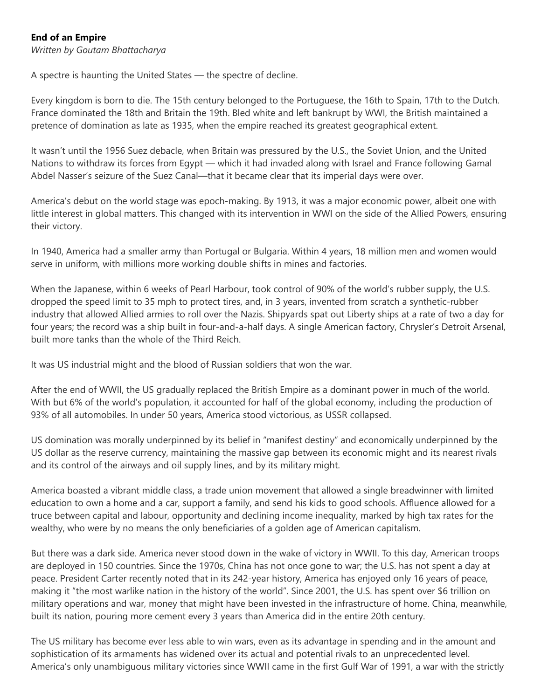## **End of an Empire**

*Written by Goutam Bhattacharya*

A spectre is haunting the United States — the spectre of decline.

Every kingdom is born to die. The 15th century belonged to the Portuguese, the 16th to Spain, 17th to the Dutch. France dominated the 18th and Britain the 19th. Bled white and left bankrupt by WWI, the British maintained a pretence of domination as late as 1935, when the empire reached its greatest geographical extent.

It wasn't until the 1956 Suez debacle, when Britain was pressured by the U.S., the Soviet Union, and the United Nations to withdraw its forces from Egypt — which it had invaded along with Israel and France following Gamal Abdel Nasser's seizure of the Suez Canal—that it became clear that its imperial days were over.

America's debut on the world stage was epoch-making. By 1913, it was a major economic power, albeit one with little interest in global matters. This changed with its intervention in WWI on the side of the Allied Powers, ensuring their victory.

In 1940, America had a smaller army than Portugal or Bulgaria. Within 4 years, 18 million men and women would serve in uniform, with millions more working double shifts in mines and factories.

When the Japanese, within 6 weeks of Pearl Harbour, took control of 90% of the world's rubber supply, the U.S. dropped the speed limit to 35 mph to protect tires, and, in 3 years, invented from scratch a synthetic-rubber industry that allowed Allied armies to roll over the Nazis. Shipyards spat out Liberty ships at a rate of two a day for four years; the record was a ship built in four-and-a-half days. A single American factory, Chrysler's Detroit Arsenal, built more tanks than the whole of the Third Reich.

It was US industrial might and the blood of Russian soldiers that won the war.

After the end of WWII, the US gradually replaced the British Empire as a dominant power in much of the world. With but 6% of the world's population, it accounted for half of the global economy, including the production of 93% of all automobiles. In under 50 years, America stood victorious, as USSR collapsed.

US domination was morally underpinned by its belief in "manifest destiny" and economically underpinned by the US dollar as the reserve currency, maintaining the massive gap between its economic might and its nearest rivals and its control of the airways and oil supply lines, and by its military might.

America boasted a vibrant middle class, a trade union movement that allowed a single breadwinner with limited education to own a home and a car, support a family, and send his kids to good schools. Affluence allowed for a truce between capital and labour, opportunity and declining income inequality, marked by high tax rates for the wealthy, who were by no means the only beneficiaries of a golden age of American capitalism.

But there was a dark side. America never stood down in the wake of victory in WWII. To this day, American troops are deployed in 150 countries. Since the 1970s, China has not once gone to war; the U.S. has not spent a day at peace. President Carter recently noted that in its 242-year history, America has enjoyed only 16 years of peace, making it "the most warlike nation in the history of the world". Since 2001, the U.S. has spent over \$6 trillion on military operations and war, money that might have been invested in the infrastructure of home. China, meanwhile, built its nation, pouring more cement every 3 years than America did in the entire 20th century.

The US military has become ever less able to win wars, even as its advantage in spending and in the amount and sophistication of its armaments has widened over its actual and potential rivals to an unprecedented level. America's only unambiguous military victories since WWII came in the first Gulf War of 1991, a war with the strictly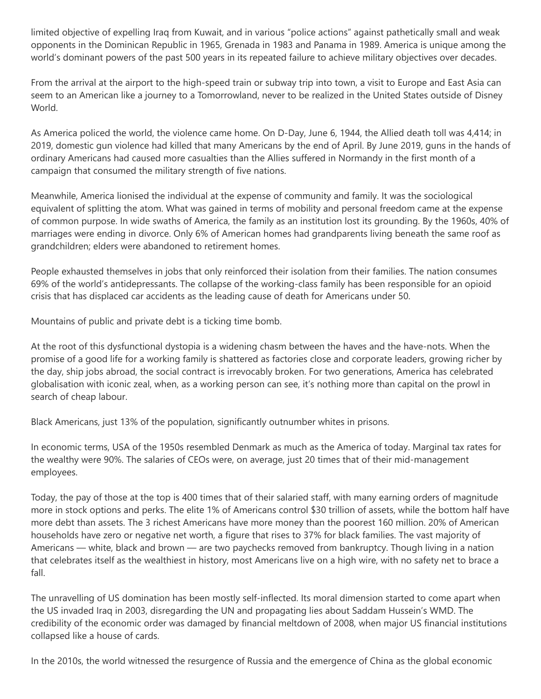limited objective of expelling Iraq from Kuwait, and in various "police actions" against pathetically small and weak opponents in the Dominican Republic in 1965, Grenada in 1983 and Panama in 1989. America is unique among the world's dominant powers of the past 500 years in its repeated failure to achieve military objectives over decades.

From the arrival at the airport to the high-speed train or subway trip into town, a visit to Europe and East Asia can seem to an American like a journey to a Tomorrowland, never to be realized in the United States outside of Disney World.

As America policed the world, the violence came home. On D-Day, June 6, 1944, the Allied death toll was 4,414; in 2019, domestic gun violence had killed that many Americans by the end of April. By June 2019, guns in the hands of ordinary Americans had caused more casualties than the Allies suffered in Normandy in the first month of a campaign that consumed the military strength of five nations.

Meanwhile, America lionised the individual at the expense of community and family. It was the sociological equivalent of splitting the atom. What was gained in terms of mobility and personal freedom came at the expense of common purpose. In wide swaths of America, the family as an institution lost its grounding. By the 1960s, 40% of marriages were ending in divorce. Only 6% of American homes had grandparents living beneath the same roof as grandchildren; elders were abandoned to retirement homes.

People exhausted themselves in jobs that only reinforced their isolation from their families. The nation consumes 69% of the world's antidepressants. The collapse of the working-class family has been responsible for an opioid crisis that has displaced car accidents as the leading cause of death for Americans under 50.

Mountains of public and private debt is a ticking time bomb.

At the root of this dysfunctional dystopia is a widening chasm between the haves and the have-nots. When the promise of a good life for a working family is shattered as factories close and corporate leaders, growing richer by the day, ship jobs abroad, the social contract is irrevocably broken. For two generations, America has celebrated globalisation with iconic zeal, when, as a working person can see, it's nothing more than capital on the prowl in search of cheap labour.

Black Americans, just 13% of the population, significantly outnumber whites in prisons.

In economic terms, USA of the 1950s resembled Denmark as much as the America of today. Marginal tax rates for the wealthy were 90%. The salaries of CEOs were, on average, just 20 times that of their mid-management employees.

Today, the pay of those at the top is 400 times that of their salaried staff, with many earning orders of magnitude more in stock options and perks. The elite 1% of Americans control \$30 trillion of assets, while the bottom half have more debt than assets. The 3 richest Americans have more money than the poorest 160 million. 20% of American households have zero or negative net worth, a figure that rises to 37% for black families. The vast majority of Americans — white, black and brown — are two paychecks removed from bankruptcy. Though living in a nation that celebrates itself as the wealthiest in history, most Americans live on a high wire, with no safety net to brace a fall.

The unravelling of US domination has been mostly self-inflected. Its moral dimension started to come apart when the US invaded Iraq in 2003, disregarding the UN and propagating lies about Saddam Hussein's WMD. The credibility of the economic order was damaged by financial meltdown of 2008, when major US financial institutions collapsed like a house of cards.

In the 2010s, the world witnessed the resurgence of Russia and the emergence of China as the global economic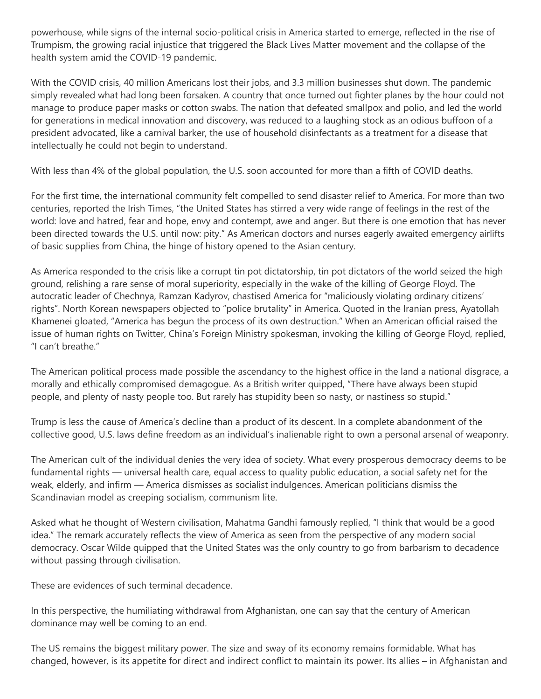powerhouse, while signs of the internal socio-political crisis in America started to emerge, reflected in the rise of Trumpism, the growing racial injustice that triggered the Black Lives Matter movement and the collapse of the health system amid the COVID-19 pandemic.

With the COVID crisis, 40 million Americans lost their jobs, and 3.3 million businesses shut down. The pandemic simply revealed what had long been forsaken. A country that once turned out fighter planes by the hour could not manage to produce paper masks or cotton swabs. The nation that defeated smallpox and polio, and led the world for generations in medical innovation and discovery, was reduced to a laughing stock as an odious buffoon of a president advocated, like a carnival barker, the use of household disinfectants as a treatment for a disease that intellectually he could not begin to understand.

With less than 4% of the global population, the U.S. soon accounted for more than a fifth of COVID deaths.

For the first time, the international community felt compelled to send disaster relief to America. For more than two centuries, reported the Irish Times, "the United States has stirred a very wide range of feelings in the rest of the world: love and hatred, fear and hope, envy and contempt, awe and anger. But there is one emotion that has never been directed towards the U.S. until now: pity." As American doctors and nurses eagerly awaited emergency airlifts of basic supplies from China, the hinge of history opened to the Asian century.

As America responded to the crisis like a corrupt tin pot dictatorship, tin pot dictators of the world seized the high ground, relishing a rare sense of moral superiority, especially in the wake of the killing of George Floyd. The autocratic leader of Chechnya, Ramzan Kadyrov, chastised America for "maliciously violating ordinary citizens' rights". North Korean newspapers objected to "police brutality" in America. Quoted in the Iranian press, Ayatollah Khamenei gloated, "America has begun the process of its own destruction." When an American official raised the issue of human rights on Twitter, China's Foreign Ministry spokesman, invoking the killing of George Floyd, replied, "I can't breathe."

The American political process made possible the ascendancy to the highest office in the land a national disgrace, a morally and ethically compromised demagogue. As a British writer quipped, "There have always been stupid people, and plenty of nasty people too. But rarely has stupidity been so nasty, or nastiness so stupid."

Trump is less the cause of America's decline than a product of its descent. In a complete abandonment of the collective good, U.S. laws define freedom as an individual's inalienable right to own a personal arsenal of weaponry.

The American cult of the individual denies the very idea of society. What every prosperous democracy deems to be fundamental rights — universal health care, equal access to quality public education, a social safety net for the weak, elderly, and infirm — America dismisses as socialist indulgences. American politicians dismiss the Scandinavian model as creeping socialism, communism lite.

Asked what he thought of Western civilisation, Mahatma Gandhi famously replied, "I think that would be a good idea." The remark accurately reflects the view of America as seen from the perspective of any modern social democracy. Oscar Wilde quipped that the United States was the only country to go from barbarism to decadence without passing through civilisation.

These are evidences of such terminal decadence.

In this perspective, the humiliating withdrawal from Afghanistan, one can say that the century of American dominance may well be coming to an end.

The US remains the biggest military power. The size and sway of its economy remains formidable. What has changed, however, is its appetite for direct and indirect conflict to maintain its power. Its allies – in Afghanistan and